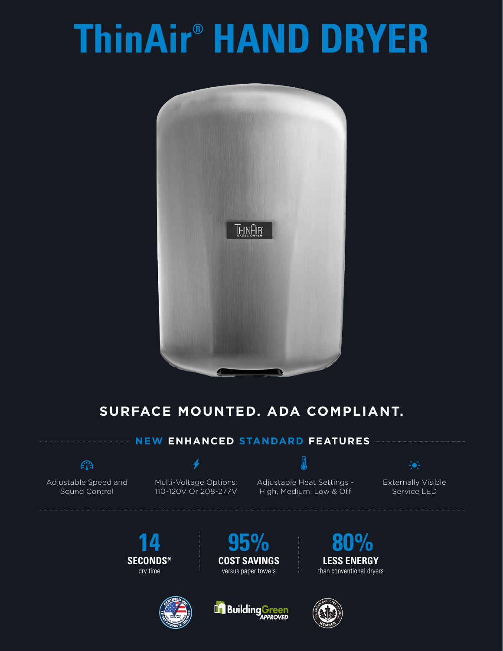# **ThinAir® HAND DRYER**



## **SURFACE MOUNTED. ADA COMPLIANT.**

#### **NEW ENHANCED STANDARD FEATURES**

### $\widehat{\mathbb{C}}$

Adjustable Speed and Sound Control

Multi-Voltage Options: 110-120V Or 208-277V

 $\bm{\rlap{/}}$ 

Adjustable Heat Settings - High, Medium, Low & Off

 $\overline{\bm{\theta}}$ 

Externally Visible Service LED

 $\div$